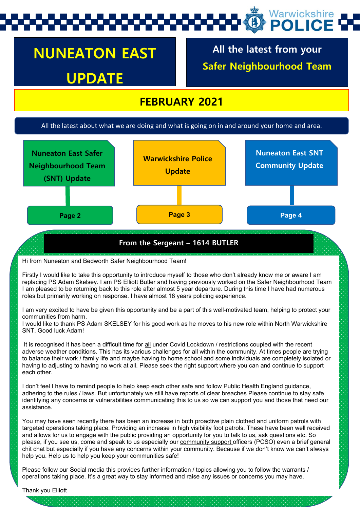## Warwickshire POLICE

# **NUNEATON EAST UPDATE**

**All the latest from your Safer Neighbourhood Team**

## **FEBRUARY 2021**

#### All the latest about what we are doing and what is going on in and around your home and area.



#### **From the Sergeant – 1614 BUTLER**

Hi from Nuneaton and Bedworth Safer Neighbourhood Team!

Firstly I would like to take this opportunity to introduce myself to those who don't already know me or aware I am replacing PS Adam Skelsey. I am PS Elliott Butler and having previously worked on the Safer Neighbourhood Team I am pleased to be returning back to this role after almost 5 year departure. During this time I have had numerous roles but primarily working on response. I have almost 18 years policing experience.

I am very excited to have be given this opportunity and be a part of this well-motivated team, helping to protect your communities from harm.

I would like to thank PS Adam SKELSEY for his good work as he moves to his new role within North Warwickshire SNT. Good luck Adam!

It is recognised it has been a difficult time for all under Covid Lockdown / restrictions coupled with the recent adverse weather conditions. This has its various challenges for all within the community. At times people are trying to balance their work / family life and maybe having to home school and some individuals are completely isolated or having to adjusting to having no work at all. Please seek the right support where you can and continue to support each other.

I don't feel I have to remind people to help keep each other safe and follow Public Health England guidance, adhering to the rules / laws. But unfortunately we still have reports of clear breaches Please continue to stay safe identifying any concerns or vulnerabilities communicating this to us so we can support you and those that need our assistance.

You may have seen recently there has been an increase in both proactive plain clothed and uniform patrols with targeted operations taking place. Providing an increase in high visibility foot patrols. These have been well received and allows for us to engage with the public providing an opportunity for you to talk to us, ask questions etc. So please, if you see us, come and speak to us especially our community support officers (PCSO) even a brief general chit chat but especially if you have any concerns within your community. Because if we don't know we can't always help you. Help us to help you keep your communities safe!

Please follow our Social media this provides further information / topics allowing you to follow the warrants / operations taking place. It's a great way to stay informed and raise any issues or concerns you may have.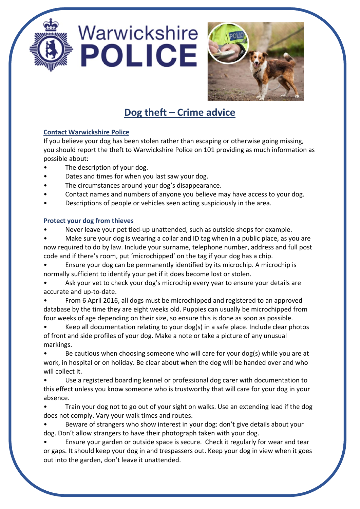



## **Dog theft – Crime advice**

### **Contact Warwickshire Police**

If you believe your dog has been stolen rather than escaping or otherwise going missing, you should report the theft to Warwickshire Police on 101 providing as much information as possible about:

- The description of your dog.
- Dates and times for when you last saw your dog.
- The circumstances around your dog's disappearance.
- Contact names and numbers of anyone you believe may have access to your dog.
- Descriptions of people or vehicles seen acting suspiciously in the area.

### **Protect your dog from thieves**

- Never leave your pet tied-up unattended, such as outside shops for example.
- Make sure your dog is wearing a collar and ID tag when in a public place, as you are now required to do by law. Include your surname, telephone number, address and full post code and if there's room, put 'microchipped' on the tag if your dog has a chip.
- Ensure your dog can be permanently identified by its microchip. A microchip is normally sufficient to identify your pet if it does become lost or stolen.
- Ask your vet to check your dog's microchip every year to ensure your details are accurate and up-to-date.
- From 6 April 2016, all dogs must be microchipped and registered to an approved database by the time they are eight weeks old. Puppies can usually be microchipped from four weeks of age depending on their size, so ensure this is done as soon as possible.
- Keep all documentation relating to your dog(s) in a safe place. Include clear photos of front and side profiles of your dog. Make a note or take a picture of any unusual markings.
- Be cautious when choosing someone who will care for your dog(s) while you are at work, in hospital or on holiday. Be clear about when the dog will be handed over and who will collect it.
- Use a registered boarding kennel or professional dog carer with documentation to this effect unless you know someone who is trustworthy that will care for your dog in your absence.
- Train your dog not to go out of your sight on walks. Use an extending lead if the dog does not comply. Vary your walk times and routes.
- Beware of strangers who show interest in your dog: don't give details about your dog. Don't allow strangers to have their photograph taken with your dog.
- Ensure your garden or outside space is secure. Check it regularly for wear and tear or gaps. It should keep your dog in and trespassers out. Keep your dog in view when it goes out into the garden, don't leave it unattended.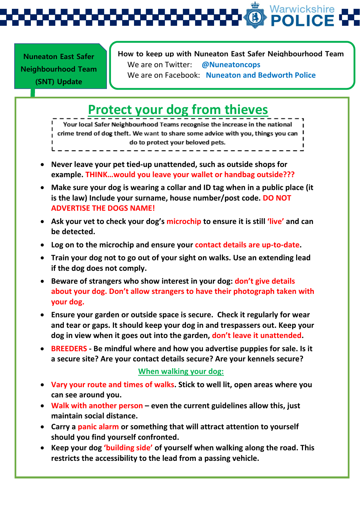Warwickshire

**Nuneaton East Safer Neighbourhood Team (SNT) Update** 

## **How to keep up with Nuneaton East Safer Neighbourhood Team**  We are on Twitter: **@Nuneatoncops** We are on Facebook: **Nuneaton and Bedworth Police**

# **Protect your dog from thieves**

Your local Safer Neighbourhood Teams recognise the increase in the national crime trend of dog theft. We want to share some advice with you, things you can do to protect your beloved pets.

- **Never leave your pet tied-up unattended, such as outside shops for example. THINK…would you leave your wallet or handbag outside???**
- **Make sure your dog is wearing a collar and ID tag when in a public place (it is the law) Include your surname, house number/post code. DO NOT ADVERTISE THE DOGS NAME!**
- **Ask your vet to check your dog's microchip to ensure it is still 'live' and can be detected.**
- **Log on to the microchip and ensure your contact details are up-to-date.**
- **Train your dog not to go out of your sight on walks. Use an extending lead if the dog does not comply.**
- **Beware of strangers who show interest in your dog: don't give details about your dog. Don't allow strangers to have their photograph taken with your dog.**
- **Ensure your garden or outside space is secure. Check it regularly for wear and tear or gaps. It should keep your dog in and trespassers out. Keep your dog in view when it goes out into the garden, don't leave it unattended.**
- **BREEDERS - Be mindful where and how you advertise puppies for sale. Is it a secure site? Are your contact details secure? Are your kennels secure?**

## **When walking your dog:**

- **Vary your route and times of walks. Stick to well lit, open areas where you can see around you.**
- **Walk with another person – even the current guidelines allow this, just maintain social distance.**
- **Carry a panic alarm or something that will attract attention to yourself should you find yourself confronted.**
- **Keep your dog 'building side' of yourself when walking along the road. This restricts the accessibility to the lead from a passing vehicle.**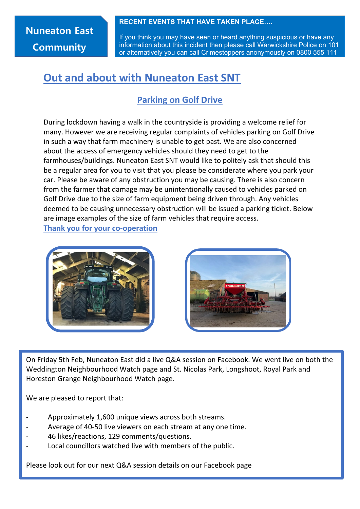## **Nuneaton East Community**

**RECENT EVENTS THAT HAVE TAKEN PLACE….**

If you think you may have seen or heard anything suspicious or have any information about this incident then please call Warwickshire Police on 101 or alternatively you can call Crimestoppers anonymously on 0800 555 111

## **Out and about with Nuneaton East SNT**

## **Parking on Golf Drive**

During lockdown having a walk in the countryside is providing a welcome relief for many. However we are receiving regular complaints of vehicles parking on Golf Drive in such a way that farm machinery is unable to get past. We are also concerned about the access of emergency vehicles should they need to get to the farmhouses/buildings. Nuneaton East SNT would like to politely ask that should this be a regular area for you to visit that you please be considerate where you park your car. Please be aware of any obstruction you may be causing. There is also concern from the farmer that damage may be unintentionally caused to vehicles parked on Golf Drive due to the size of farm equipment being driven through. Any vehicles deemed to be causing unnecessary obstruction will be issued a parking ticket. Below are image examples of the size of farm vehicles that require access.

**Thank you for your co-operation**





On Friday 5th Feb, Nuneaton East did a live Q&A session on Facebook. We went live on both the Weddington Neighbourhood Watch page and St. Nicolas Park, Longshoot, Royal Park and Horeston Grange Neighbourhood Watch page.

We are pleased to report that:

- Approximately 1,600 unique views across both streams.
- Average of 40-50 live viewers on each stream at any one time.
- 46 likes/reactions, 129 comments/questions.
- Local councillors watched live with members of the public.

Please look out for our next Q&A session details on our Facebook page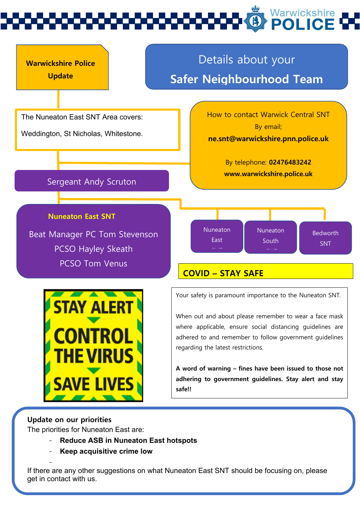# Warwickshire



When out and about please remember to wear a face mask where applicable, ensure social distancing guidelines are adhered to and remember to follow government guidelines regarding the latest restrictions.

**A word of warning – fines have been issued to those not adhering to government guidelines. Stay alert and stay safe!!**

## **Update on our priorities**

The priorities for Nuneaton East are:

- **Reduce ASB in Nuneaton East hotspots**
- **Keep acquisitive crime low**

- If there are any other suggestions on what Nuneaton East SNT should be focusing on, please get in contact with us.